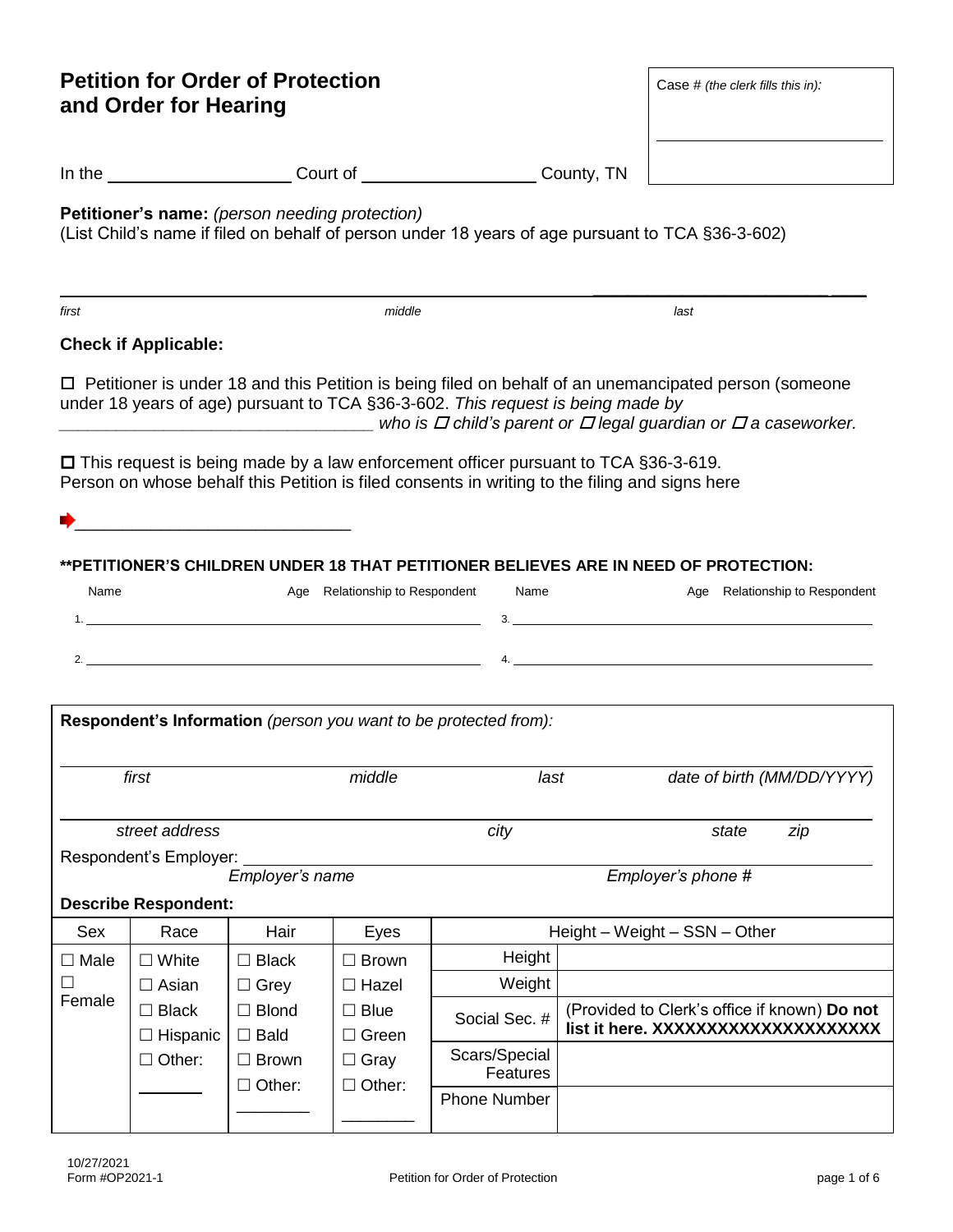| <b>Petition for Order of Protection</b><br>and Order for Hearing                                                                                                                                                                                                                                                                                                                                                                                                                                                                                                                                                                                                              |                                                                   |                                |               | Case # (the clerk fills this in):                                |                                                                                    |                               |  |
|-------------------------------------------------------------------------------------------------------------------------------------------------------------------------------------------------------------------------------------------------------------------------------------------------------------------------------------------------------------------------------------------------------------------------------------------------------------------------------------------------------------------------------------------------------------------------------------------------------------------------------------------------------------------------------|-------------------------------------------------------------------|--------------------------------|---------------|------------------------------------------------------------------|------------------------------------------------------------------------------------|-------------------------------|--|
|                                                                                                                                                                                                                                                                                                                                                                                                                                                                                                                                                                                                                                                                               |                                                                   |                                |               | In the Count of Court of Count County, TN                        |                                                                                    |                               |  |
| <b>Petitioner's name:</b> (person needing protection)<br>(List Child's name if filed on behalf of person under 18 years of age pursuant to TCA §36-3-602)                                                                                                                                                                                                                                                                                                                                                                                                                                                                                                                     |                                                                   |                                |               |                                                                  |                                                                                    |                               |  |
| first                                                                                                                                                                                                                                                                                                                                                                                                                                                                                                                                                                                                                                                                         |                                                                   |                                | middle        |                                                                  |                                                                                    | last                          |  |
|                                                                                                                                                                                                                                                                                                                                                                                                                                                                                                                                                                                                                                                                               | <b>Check if Applicable:</b>                                       |                                |               |                                                                  |                                                                                    |                               |  |
| $\Box$ Petitioner is under 18 and this Petition is being filed on behalf of an unemancipated person (someone<br>under 18 years of age) pursuant to TCA §36-3-602. This request is being made by<br>who is $\varPi$ child's parent or $\varPi$ legal guardian or $\varPi$ a caseworker.<br>$\Box$ This request is being made by a law enforcement officer pursuant to TCA §36-3-619.<br>Person on whose behalf this Petition is filed consents in writing to the filing and signs here<br>**PETITIONER'S CHILDREN UNDER 18 THAT PETITIONER BELIEVES ARE IN NEED OF PROTECTION:<br>Name<br>Age Relationship to Respondent<br>Name<br>Age Relationship to Respondent<br>3.<br>4. |                                                                   |                                |               |                                                                  |                                                                                    |                               |  |
|                                                                                                                                                                                                                                                                                                                                                                                                                                                                                                                                                                                                                                                                               |                                                                   |                                |               | Respondent's Information (person you want to be protected from): |                                                                                    |                               |  |
|                                                                                                                                                                                                                                                                                                                                                                                                                                                                                                                                                                                                                                                                               | first                                                             |                                | middle        | last                                                             |                                                                                    | date of birth (MM/DD/YYYY)    |  |
|                                                                                                                                                                                                                                                                                                                                                                                                                                                                                                                                                                                                                                                                               | street address                                                    |                                |               | city                                                             |                                                                                    | state<br>zip                  |  |
| Respondent's Employer:<br>Employer's name<br>Employer's phone #                                                                                                                                                                                                                                                                                                                                                                                                                                                                                                                                                                                                               |                                                                   |                                |               |                                                                  |                                                                                    |                               |  |
| <b>Describe Respondent:</b>                                                                                                                                                                                                                                                                                                                                                                                                                                                                                                                                                                                                                                                   |                                                                   |                                |               |                                                                  |                                                                                    |                               |  |
| <b>Sex</b>                                                                                                                                                                                                                                                                                                                                                                                                                                                                                                                                                                                                                                                                    | Race                                                              | Hair                           | Eyes          |                                                                  |                                                                                    | Height - Weight - SSN - Other |  |
| $\Box$ Male                                                                                                                                                                                                                                                                                                                                                                                                                                                                                                                                                                                                                                                                   | $\Box$ White                                                      | $\Box$ Black                   | $\Box$ Brown  | Height                                                           |                                                                                    |                               |  |
|                                                                                                                                                                                                                                                                                                                                                                                                                                                                                                                                                                                                                                                                               | $\Box$ Asian                                                      | $\Box$ Grey                    | $\Box$ Hazel  | Weight                                                           |                                                                                    |                               |  |
| Female                                                                                                                                                                                                                                                                                                                                                                                                                                                                                                                                                                                                                                                                        | $\Box$ Blond<br>$\Box$ Black<br>$\square$ Bald<br>$\Box$ Hispanic | $\square$ Blue<br>$\Box$ Green | Social Sec. # |                                                                  | (Provided to Clerk's office if known) Do not<br>list it here. XXXXXXXXXXXXXXXXXXXX |                               |  |
|                                                                                                                                                                                                                                                                                                                                                                                                                                                                                                                                                                                                                                                                               | $\Box$ Other:                                                     | $\Box$ Brown                   | $\Box$ Gray   | Scars/Special<br>Features                                        |                                                                                    |                               |  |
|                                                                                                                                                                                                                                                                                                                                                                                                                                                                                                                                                                                                                                                                               |                                                                   | $\Box$ Other:                  | $\Box$ Other: | <b>Phone Number</b>                                              |                                                                                    |                               |  |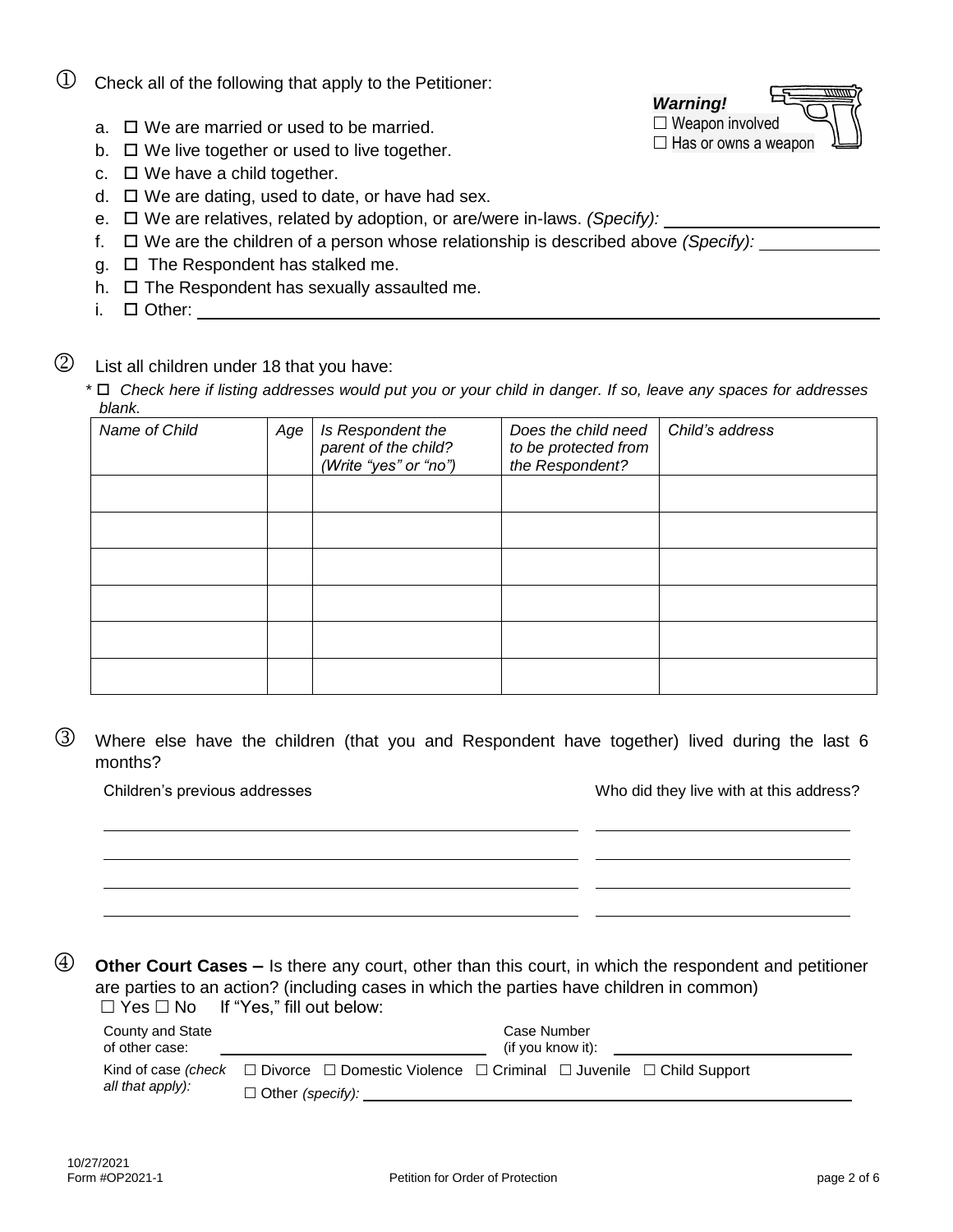| ∣ Other: |  |  |  |
|----------|--|--|--|
|          |  |  |  |

List all children under 18 that you have:

*\* Check here if listing addresses would put you or your child in danger. If so, leave any spaces for addresses blank.*

*Does the child need* 

*parent of the child? (Write "yes" or "no") to be protected from the Respondent?*

 Where else have the children (that you and Respondent have together) lived during the last 6 months?

Children's previous addresses Who did they live with at this address?

 **Other Court Cases –** Is there any court, other than this court, in which the respondent and petitioner are parties to an action? (including cases in which the parties have children in common)  $\Box$  Yes  $\Box$  No If "Yes," fill out below:

| County and State<br>of other case: |                                                                                                                  | Case Number<br>(if you know it): |  |
|------------------------------------|------------------------------------------------------------------------------------------------------------------|----------------------------------|--|
|                                    | Kind of case (check $\Box$ Divorce $\Box$ Domestic Violence $\Box$ Criminal $\Box$ Juvenile $\Box$ Child Support |                                  |  |
| all that apply):                   | $\Box$ Other (specify):                                                                                          |                                  |  |

Form #OP2021-1 Petition for Order of Protection and the Petition for Order of Protection page 2 of 6

- $\bigcup$  Check all of the following that apply to the Petitioner:
	- $a. \Box$  We are married or used to be married.
	- $b. \Box$  We live together or used to live together.
	- c.  $\Box$  We have a child together.
	- $d. \Box$  We are dating, used to date, or have had sex.
	- e. □ We are relatives, related by adoption, or are/were in-laws. *(Specify):*
	- f. We are the children of a person whose relationship is described above *(Specify):*
	- $g. \Box$  The Respondent has stalked me.
	- h.  $\Box$  The Respondent has sexually assaulted me.

*Name of Child Age Is Respondent the* 

i. Other:



*Child's address*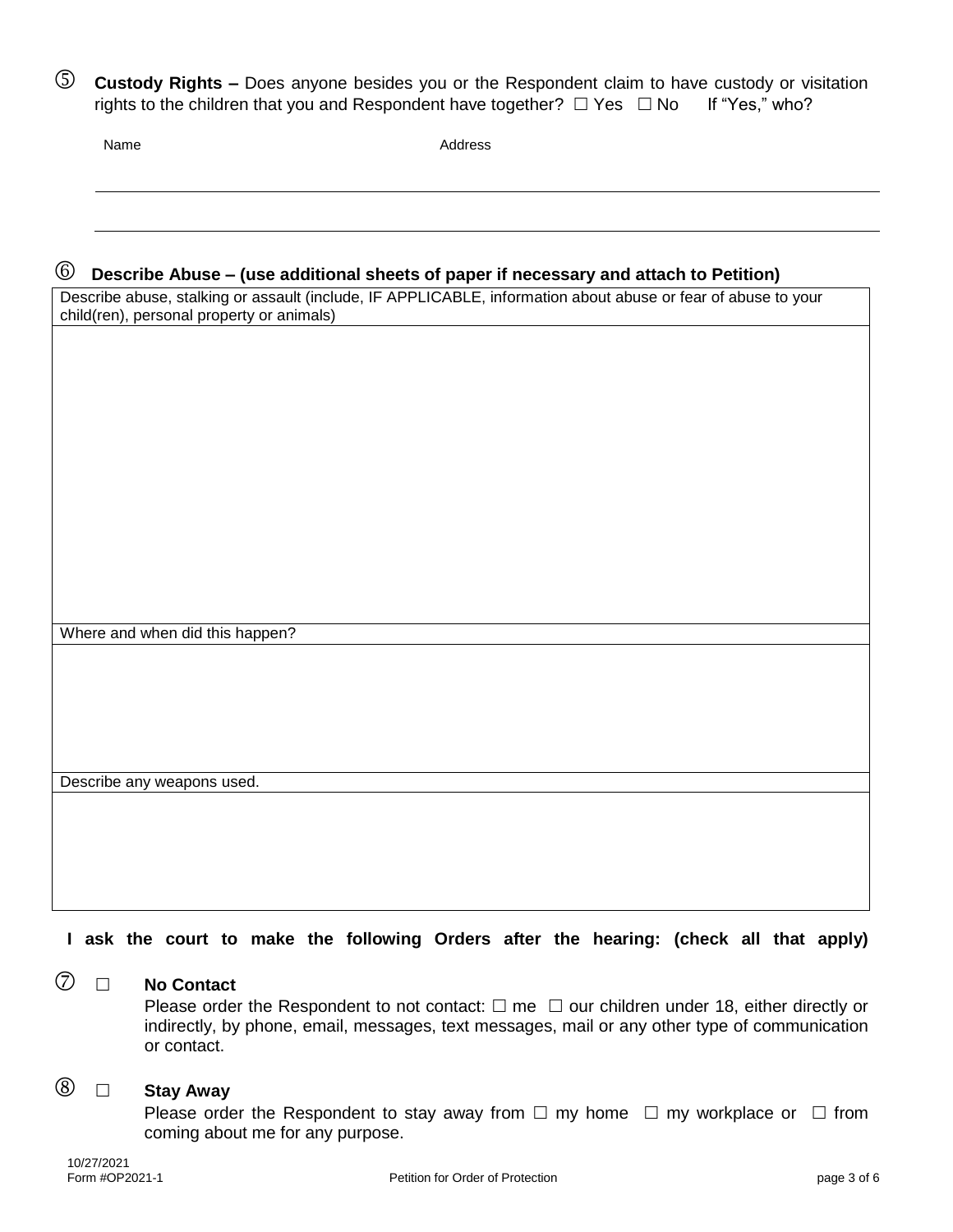**Custody Rights –** Does anyone besides you or the Respondent claim to have custody or visitation rights to the children that you and Respondent have together?  $\Box$  Yes  $\Box$  No If "Yes," who?

Name Address

## **Describe Abuse – (use additional sheets of paper if necessary and attach to Petition)**

Describe abuse, stalking or assault (include, IF APPLICABLE, information about abuse or fear of abuse to your child(ren), personal property or animals)

Where and when did this happen?

Describe any weapons used.

**I ask the court to make the following Orders after the hearing: (check all that apply)**

# **No Contact**

Please order the Respondent to not contact:  $\Box$  me  $\Box$  our children under 18, either directly or indirectly, by phone, email, messages, text messages, mail or any other type of communication or contact.

# **Stay Away**

Please order the Respondent to stay away from  $\Box$  my home  $\Box$  my workplace or  $\Box$  from coming about me for any purpose.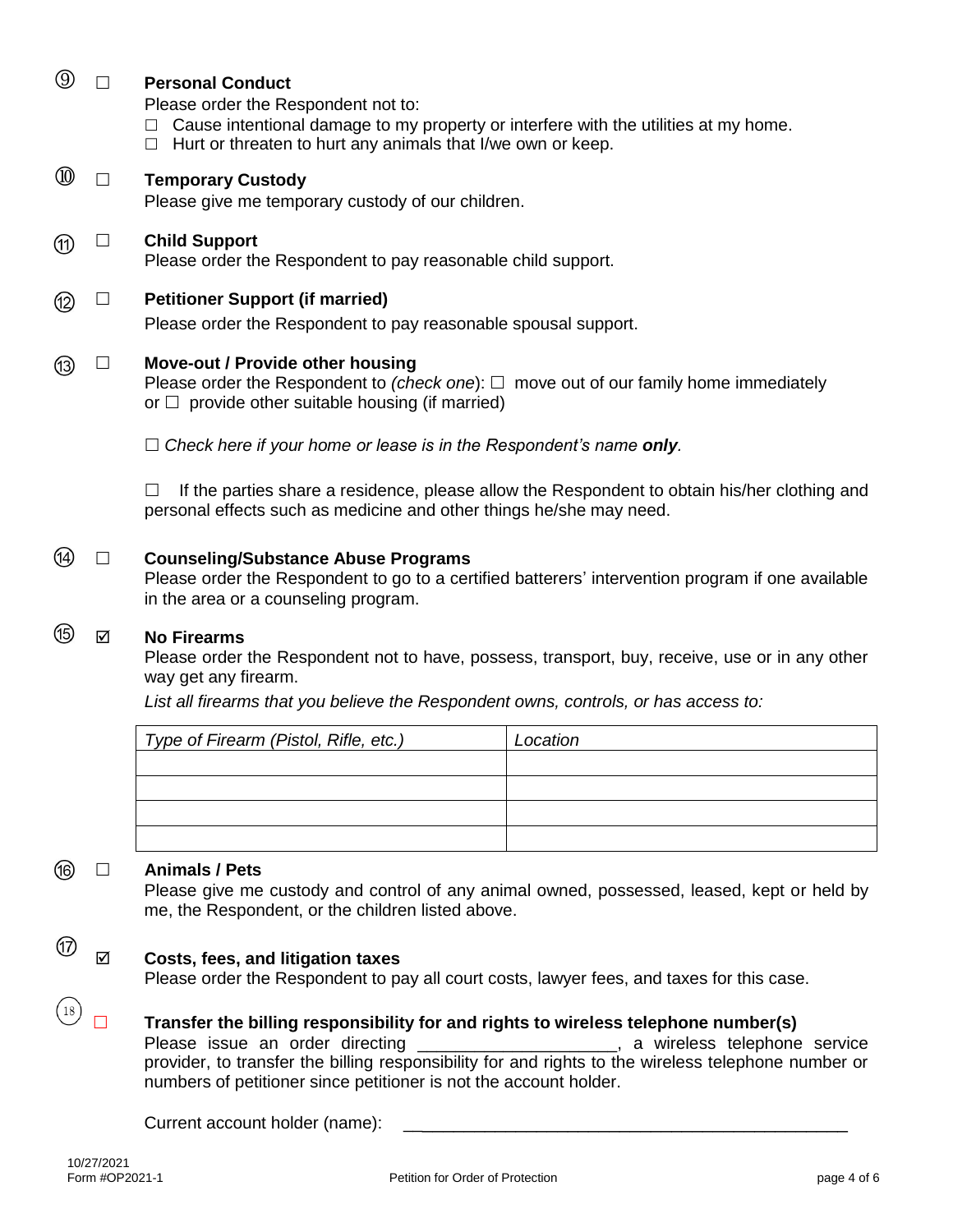|  | <b>Personal Conduct</b><br>Please order the Respondent not to:<br>Cause intentional damage to my property or interfere with the utilities at my home.<br>Hurt or threaten to hurt any animals that I/we own or keep.<br>$\Box$ |
|--|--------------------------------------------------------------------------------------------------------------------------------------------------------------------------------------------------------------------------------|
|  | <b>Temporary Custody</b><br>Please give me temporary custody of our children.                                                                                                                                                  |
|  | <b>Child Support</b><br>Please order the Respondent to pay reasonable child support.                                                                                                                                           |
|  | <b>Petitioner Support (if married)</b><br>Please order the Respondent to pay reasonable spousal support.                                                                                                                       |
|  | Move-out / Provide other housing<br>Please order the Respondent to (check one): $\Box$ move out of our family home immediately<br>or $\Box$ provide other suitable housing (if married)                                        |
|  | $\Box$ Check here if your home or lease is in the Respondent's name only.                                                                                                                                                      |
|  | If the parties share a residence, please allow the Respondent to obtain his/her clothing and<br>personal effects such as medicine and other things he/she may need.                                                            |

#### 44) **Counseling/Substance Abuse Programs**

Please order the Respondent to go to a certified batterers' intervention program if one available in the area or a counseling program.

#### ௫ **No Firearms**

Please order the Respondent not to have, possess, transport, buy, receive, use or in any other way get any firearm.

*List all firearms that you believe the Respondent owns, controls, or has access to:*

| Type of Firearm (Pistol, Rifle, etc.) | Location |
|---------------------------------------|----------|
|                                       |          |
|                                       |          |
|                                       |          |
|                                       |          |

### **Animals / Pets**

൹

(17)

 $(18)$ 

Please give me custody and control of any animal owned, possessed, leased, kept or held by me, the Respondent, or the children listed above.

### **Costs, fees, and litigation taxes**

Please order the Respondent to pay all court costs, lawyer fees, and taxes for this case.

### **Transfer the billing responsibility for and rights to wireless telephone number(s)**

Please issue an order directing \_\_\_\_\_\_\_\_\_\_\_\_\_\_\_\_\_\_\_\_\_, a wireless telephone service provider, to transfer the billing responsibility for and rights to the wireless telephone number or numbers of petitioner since petitioner is not the account holder.

#### Current account holder (name):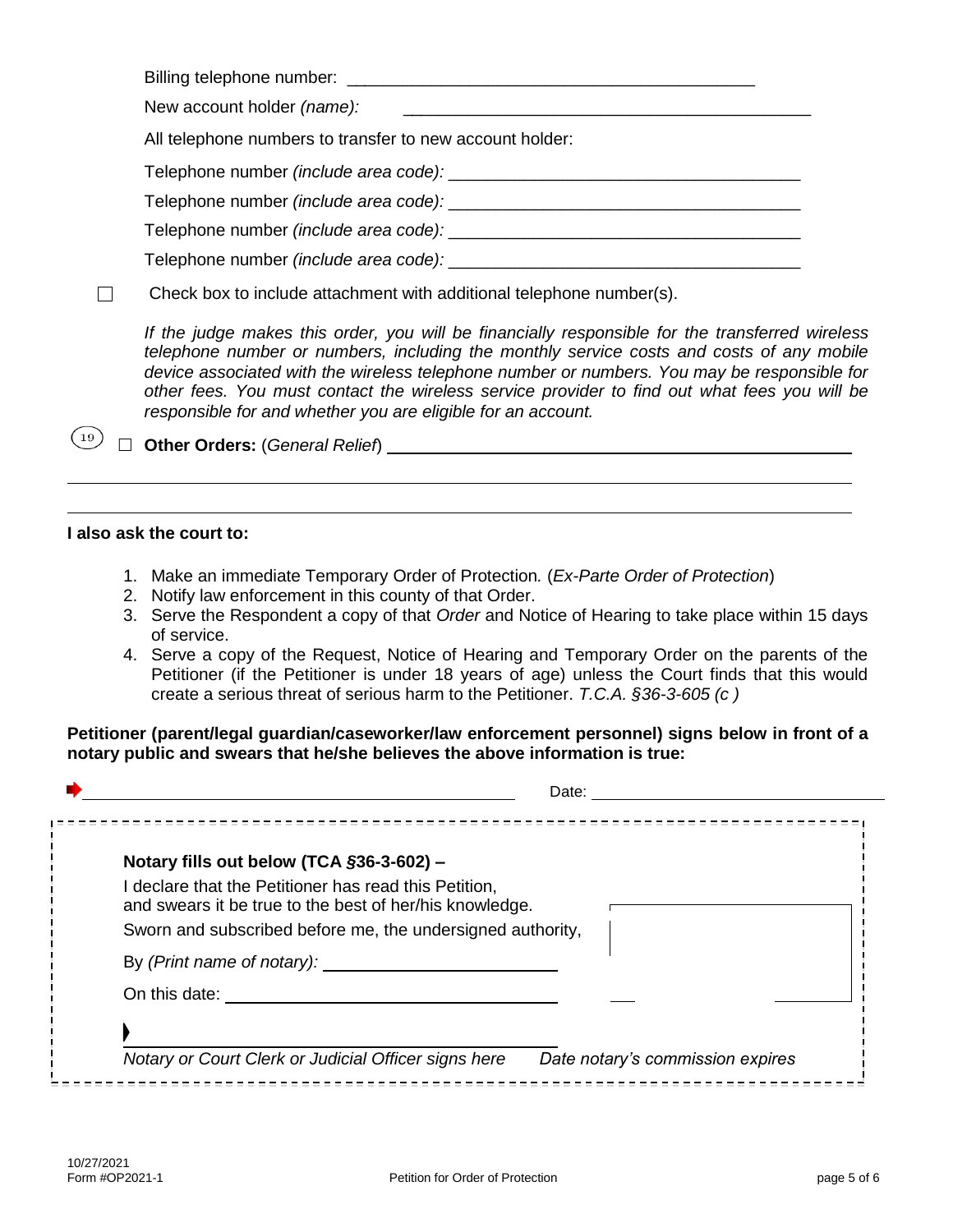Billing telephone number: **Example 10** and the set of the set of the set of the set of the set of the set of the set of the set of the set of the set of the set of the set of the set of the set of the set of the set of the

New account holder *(name):* 

All telephone numbers to transfer to new account holder:

Telephone number *(include area code):* \_\_\_\_\_\_\_\_\_\_\_\_\_\_\_\_\_\_\_\_\_\_\_\_\_\_\_\_\_\_\_\_\_\_\_\_\_

Telephone number *(include area code):* \_\_\_\_\_\_\_\_\_\_\_\_\_\_\_\_\_\_\_\_\_\_\_\_\_\_\_\_\_\_\_\_\_\_\_\_\_

Telephone number *(include area code):* \_\_\_\_\_\_\_\_\_\_\_\_\_\_\_\_\_\_\_\_\_\_\_\_\_\_\_\_\_\_\_\_\_\_\_\_\_

Telephone number *(include area code):*  $\blacksquare$ 

 $\Box$ Check box to include attachment with additional telephone number(s).

*If the judge makes this order, you will be financially responsible for the transferred wireless telephone number or numbers, including the monthly service costs and costs of any mobile device associated with the wireless telephone number or numbers. You may be responsible for other fees. You must contact the wireless service provider to find out what fees you will be responsible for and whether you are eligible for an account.* 

**Other Orders:** (*General Relief*)

## **I also ask the court to:**

 $(19)$ 

- 1. Make an immediate Temporary Order of Protection*.* (*Ex-Parte Order of Protection*)
- 2. Notify law enforcement in this county of that Order.
- 3. Serve the Respondent a copy of that *Order* and Notice of Hearing to take place within 15 days of service.
- 4. Serve a copy of the Request, Notice of Hearing and Temporary Order on the parents of the Petitioner (if the Petitioner is under 18 years of age) unless the Court finds that this would create a serious threat of serious harm to the Petitioner. *T.C.A. §36-3-605 (c )*

**Petitioner (parent/legal guardian/caseworker/law enforcement personnel) signs below in front of a notary public and swears that he/she believes the above information is true:**

|                                                                                                                                                              | Date:                            |
|--------------------------------------------------------------------------------------------------------------------------------------------------------------|----------------------------------|
| Notary fills out below (TCA §36-3-602) -<br>I declare that the Petitioner has read this Petition,<br>and swears it be true to the best of her/his knowledge. |                                  |
| Sworn and subscribed before me, the undersigned authority,<br>By (Print name of notary):                                                                     |                                  |
| On this date:                                                                                                                                                |                                  |
|                                                                                                                                                              |                                  |
| Notary or Court Clerk or Judicial Officer signs here                                                                                                         | Date notary's commission expires |